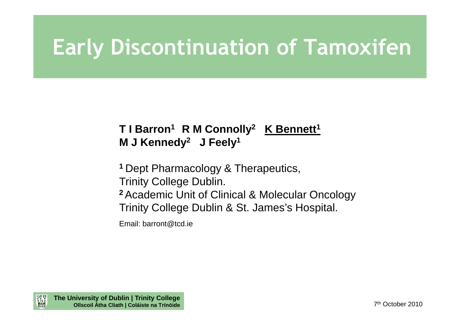# **Early Discontinuation of Tamoxifen**

#### **T I Barron<sup>1</sup>R M Connolly<sup>2</sup> K Bennett<sup>1</sup> M J Kennedy<sup>2</sup> J Feely<sup>1</sup>**

**1** Dept Pharmacology & Therapeutics,

Trinity College Dublin.

 **2**Academic Unit of Clinical & Molecular OncologyTrinity College Dublin & St. James's Hospital.

Email: barront@tcd.ie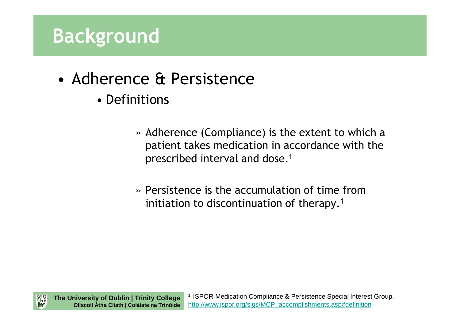- • Adherence & Persistence
	- Definitions
		- » Adherence (Compliance) is the extent to which a patient takes medication in accordance with the prescribed interval and dose.<sup>1</sup>
		- » Persistence is the accumulation of time from initiation to discontinuation of therapy.<sup>1</sup>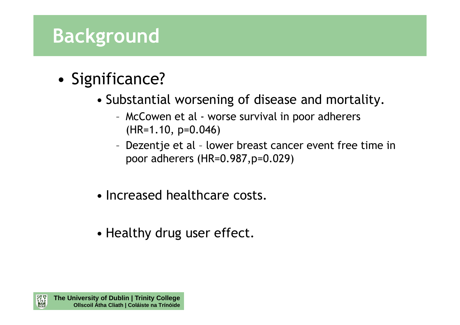- • Significance?
	- Substantial worsening of disease and mortality.
		- – McCowen et al - worse survival in poor adherers (HR=1.10, p=0.046)
		- – Dezentje et al – lower breast cancer event free time in poor adherers (HR=0.987,p=0.029)
	- Increased healthcare costs.
	- Healthy drug user effect.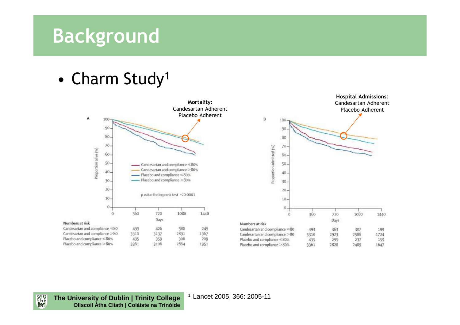•Charm Study 1



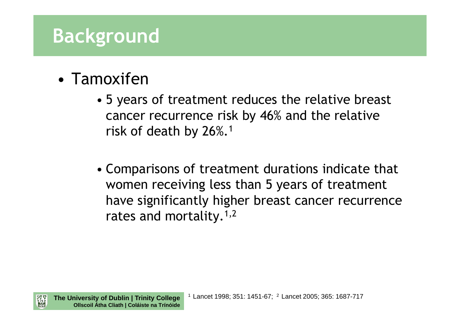- • Tamoxifen
	- 5 years of treatment reduces the relative breast cancer recurrence risk by 46% and the relative risk of death by 26%.<sup>1</sup>
	- Comparisons of treatment durations indicate that women receiving less than 5 years of treatment have significantly higher breast cancer recurrence rates and mortality.<sup>1,2</sup>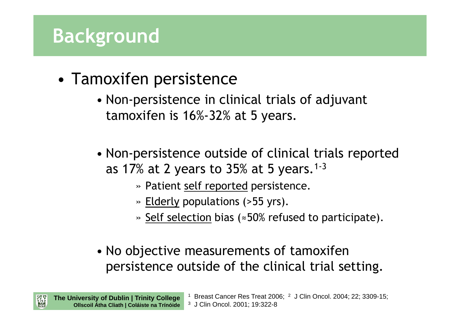- • Tamoxifen persistence
	- Non-persistence in clinical trials of adjuvant tamoxifen is 16%-32% at 5 years.
	- Non-persistence outside of clinical trials reported as 17% at 2 years to 35% at 5 years.<sup>1-3</sup>
		- » Patient <u>self reported</u> persistence.
		- » <u>Elderly</u> populations (>55 yrs).

1

- » <u>Self selection</u> bias (≈50% refused to participate).
- No objective measurements of tamoxifen persistence outside of the clinical trial setting.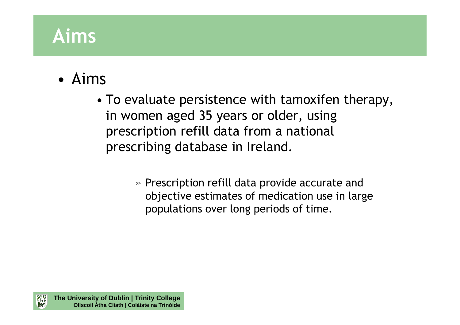# **Aims**

#### •Aims

- To evaluate persistence with tamoxifen therapy, in women aged 35 years or older, using prescription refill data from a national prescribing database in Ireland.
	- » Prescription refill data provide accurate and objective estimates of medication use in large populations over long periods of time.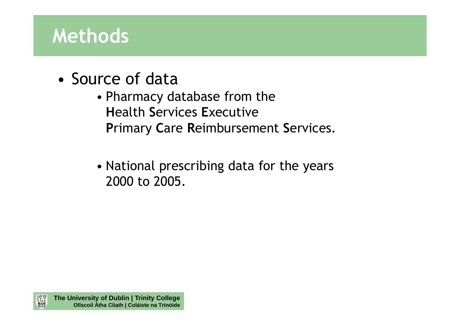- •Source of data
	- Pharmacy database from the **H**ealth **S**ervices **E**xecutive**P**rimary **C**are **R**eimbursement **S**ervices.
	- National prescribing data for the years 2000 to 2005.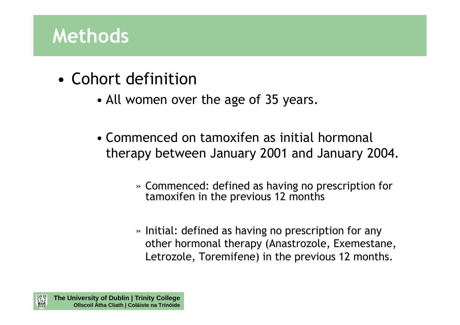- • Cohort definition
	- All women over the age of 35 years.
	- Commenced on tamoxifen as initial hormonal therapy between January 2001 and January 2004.
		- » Commenced: defined as having no prescription for tamoxifen in the previous 12 months
		- » Initial: defined as having no prescription for any other hormonal therapy (Anastrozole, Exemestane, Letrozole, Toremifene) in the previous 12 months.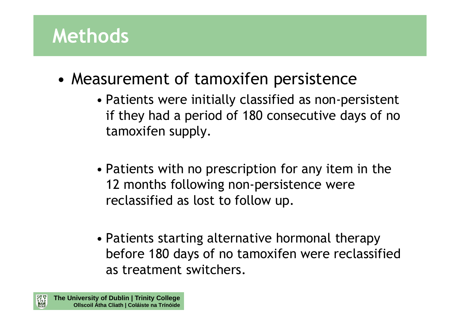- • Measurement of tamoxifen persistence
	- Patients were initially classified as non-persistent if they had a period of 180 consecutive days of no tamoxifen supply.
	- Patients with no prescription for any item in the 12 months following non-persistence were reclassified as lost to follow up.
	- Patients starting alternative hormonal therapy before 180 days of no tamoxifen were reclassified as treatment switchers.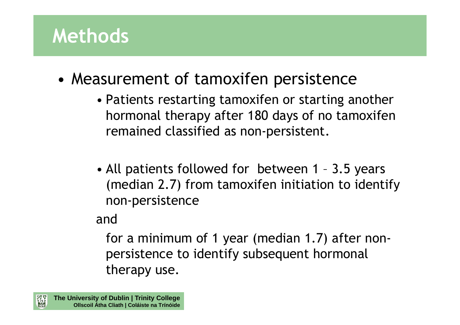- • Measurement of tamoxifen persistence
	- Patients restarting tamoxifen or starting another hormonal therapy after 180 days of no tamoxifen remained classified as non-persistent.
	- All patients followed for between 1 3.5 years (median 2.7) from tamoxifen initiation to identify non-persistence

#### and

for a minimum of 1 year (median 1.7) after nonpersistence to identify subsequent hormonal therapy use.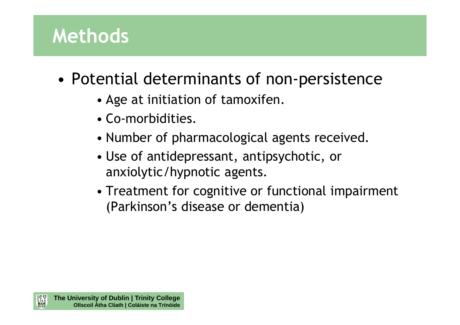- • Potential determinants of non-persistence
	- Age at initiation of tamoxifen.
	- Co-morbidities.
	- Number of pharmacological agents received.
	- Use of antidepressant, antipsychotic, or anxiolytic/hypnotic agents.
	- Treatment for cognitive or functional impairment (Parkinson's disease or dementia)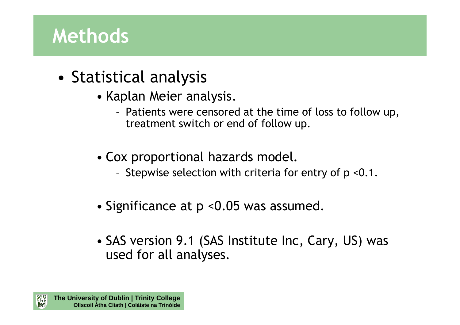- • Statistical analysis
	- Kaplan Meier analysis.
		- Patients were censored at the time of loss to follow up, treatment switch or end of follow up.
	- Cox proportional hazards model.
		- –Stepwise selection with criteria for entry of p <0.1.
	- Significance at p <0.05 was assumed.
	- SAS version 9.1 (SAS Institute Inc, Cary, US) was used for all analyses.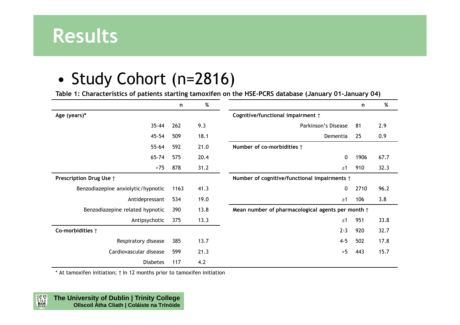

#### •Study Cohort (n=2816)

**Table 1: Characteristics of patients starting tamoxifen on the HSE-PCRS database (January 01-January 04)**

|                                    | n    | %    |                                                   | n    | %    |
|------------------------------------|------|------|---------------------------------------------------|------|------|
| Age (years)*                       |      |      | Cognitive/functional impairment †                 |      |      |
| $35 - 44$                          | 262  | 9.3  | Parkinson's Disease                               | 81   | 2.9  |
| 45-54                              | 509  | 18.1 | Dementia                                          | 25   | 0.9  |
| $55 - 64$                          | 592  | 21.0 | Number of co-morbidities †                        |      |      |
| $65 - 74$                          | 575  | 20.4 | $\mathbf 0$                                       | 1906 | 67.7 |
| $>75$                              | 878  | 31.2 | $\geq 1$                                          | 910  | 32.3 |
| Prescription Drug Use +            |      |      | Number of cognitive/functional impairments +      |      |      |
| Benzodiazepine anxiolytic/hypnotic | 1163 | 41.3 | $\mathbf{0}$                                      | 2710 | 96.2 |
| Antidepressant                     | 534  | 19.0 | $\geq$ 1                                          | 106  | 3.8  |
| Benzodiazepine related hypnotic    | 390  | 13.8 | Mean number of pharmacological agents per month + |      |      |
| Antipsychotic                      | 375  | 13.3 | $\leq 1$                                          | 951  | 33.8 |
| Co-morbidities $\dagger$           |      |      | $2 - 3$                                           | 920  | 32.7 |
| Respiratory disease                | 385  | 13.7 | $4 - 5$                                           | 502  | 17.8 |
| Cardiovascular disease             | 599  | 21.3 | >5                                                | 443  | 15.7 |
| <b>Diabetes</b>                    | 117  | 4.2  |                                                   |      |      |

\* At tamoxifen initiation; † In 12 months prior to tamoxifen initiation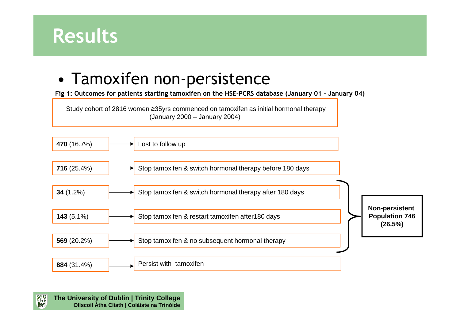

#### •Tamoxifen non-persistence

**Fig 1: Outcomes for patients starting tamoxifen on the HSE-PCRS database (January 01 – January 04)**

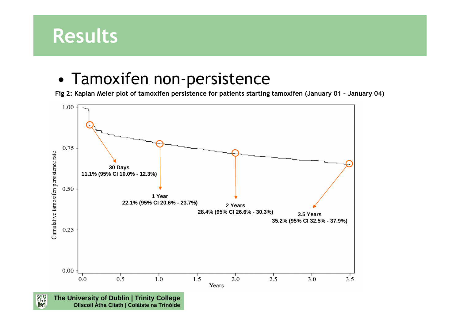#### **Results**

#### •Tamoxifen non-persistence

**Fig 2: Kaplan Meier plot of tamoxifen persistence for patients starting tamoxifen (January 01 – January 04)**

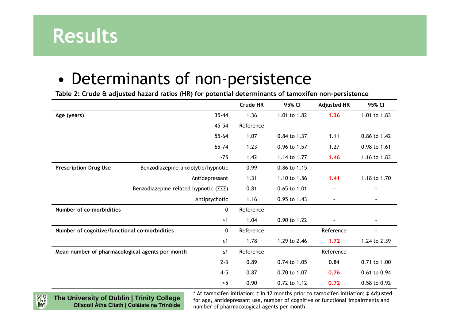

#### •Determinants of non-persistence

**Table 2: Crude & adjusted hazard ratios (HR) for potential determinants of tamoxifen non-persistence**

|                                                              |                                       | Crude HR  | 95% CI       | <b>Adjusted HR</b>       | 95% CI                   |
|--------------------------------------------------------------|---------------------------------------|-----------|--------------|--------------------------|--------------------------|
| Age (years)                                                  | $35 - 44$                             | 1.36      | 1.01 to 1.82 | 1.36                     | 1.01 to 1.83             |
|                                                              | 45-54                                 | Reference |              | $\overline{\phantom{a}}$ | $\overline{\phantom{a}}$ |
|                                                              | $55 - 64$                             | 1.07      | 0.84 to 1.37 | 1.11                     | 0.86 to 1.42             |
|                                                              | 65-74                                 | 1.23      | 0.96 to 1.57 | 1.27                     | 0.98 to 1.61             |
|                                                              | $>75$                                 | 1.42      | 1.14 to 1.77 | 1.46                     | 1.16 to 1.83             |
| <b>Prescription Drug Use</b>                                 | Benzodiazepine anxiolytic/hypnotic    | 0.99      | 0.86 to 1.15 |                          |                          |
|                                                              | Antidepressant                        | 1.31      | 1.10 to 1.56 | 1.41                     | 1.18 to 1.70             |
|                                                              | Benzodiazepine related hypnotic (ZZZ) | 0.81      | 0.65 to 1.01 |                          |                          |
|                                                              | Antipsychotic                         | 1.16      | 0.95 to 1.43 |                          |                          |
| Number of co-morbidities<br>0                                |                                       | Reference |              |                          |                          |
|                                                              | $\geq 1$                              | 1.04      | 0.90 to 1.22 |                          |                          |
| Number of cognitive/functional co-morbidities<br>$\mathbf 0$ |                                       | Reference |              | Reference                |                          |
|                                                              | $\geq 1$                              | 1.78      | 1.29 to 2.46 | 1.72                     | 1.24 to 2.39             |
| Mean number of pharmacological agents per month<br>$\leq 1$  |                                       | Reference |              | Reference                |                          |
|                                                              | $2 - 3$                               | 0.89      | 0.74 to 1.05 | 0.84                     | 0.71 to 1.00             |
|                                                              | $4 - 5$                               | 0.87      | 0.70 to 1.07 | 0.76                     | 0.61 to 0.94             |
|                                                              | >5                                    | 0.90      | 0.72 to 1.12 | 0.72                     | 0.58 to 0.92             |

器器 **The University of Dublin | Trinity CollegeOllscoil Átha Cliath | Coláiste na Trínóide**

\* At tamoxifen initiation; † In 12 months prior to tamoxifen initiation; ‡ Adjusted for age, antidepressant use, number of cognitive or functional impairments and number of pharmacological agents per month.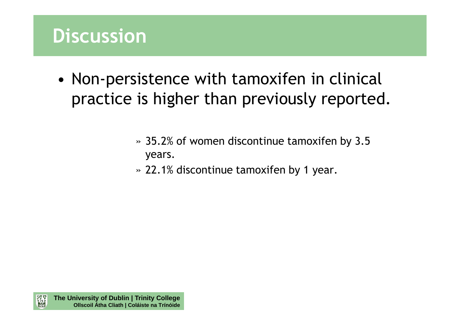#### **Discussion**

- • Non-persistence with tamoxifen in clinical practice is higher than previously reported.
	- » 35.2% of women discontinue tamoxifen by 3.5 years.
	- » 22.1% discontinue tamoxifen by 1 year.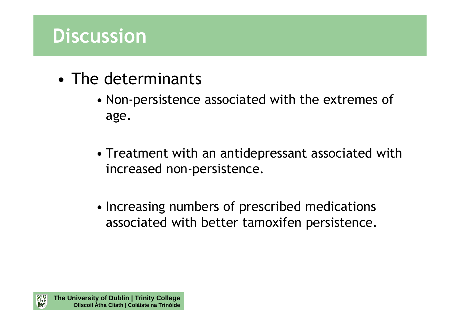#### **Discussion**

- • The determinants
	- Non-persistence associated with the extremes of age.
	- Treatment with an antidepressant associated with increased non-persistence.
	- Increasing numbers of prescribed medications associated with better tamoxifen persistence.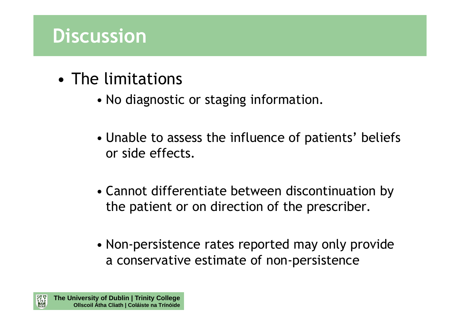#### **Discussion**

- • The limitations
	- No diagnostic or staging information.
	- Unable to assess the influence of patients' beliefs or side effects.
	- Cannot differentiate between discontinuation by the patient or on direction of the prescriber.
	- Non-persistence rates reported may only provide a conservative estimate of non-persistence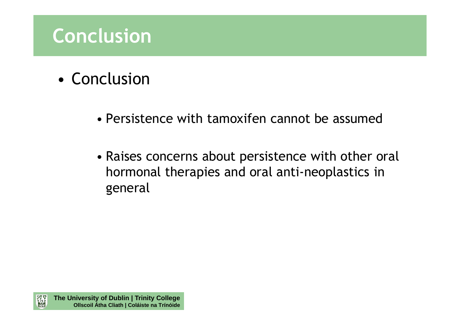# **Conclusion**

- • Conclusion
	- Persistence with tamoxifen cannot be assumed
	- Raises concerns about persistence with other oral hormonal therapies and oral anti-neoplastics in general